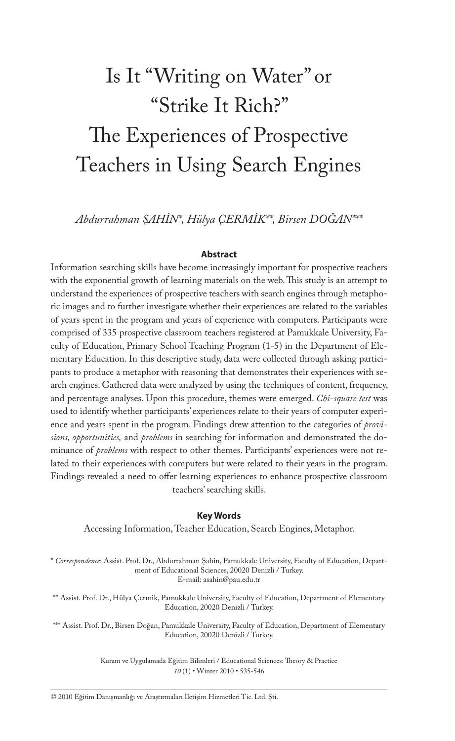# Is It "Writing on Water" or "Strike It Rich?" The Experiences of Prospective Teachers in Using Search Engines

*Abdurrahman ŞAHİN\*, Hülya ÇERMİK\*\*, Birsen DOĞAN\*\*\**

#### **Abstract**

Information searching skills have become increasingly important for prospective teachers with the exponential growth of learning materials on the web. This study is an attempt to understand the experiences of prospective teachers with search engines through metaphoric images and to further investigate whether their experiences are related to the variables of years spent in the program and years of experience with computers. Participants were comprised of 335 prospective classroom teachers registered at Pamukkale University, Faculty of Education, Primary School Teaching Program (1-5) in the Department of Elementary Education. In this descriptive study, data were collected through asking participants to produce a metaphor with reasoning that demonstrates their experiences with search engines. Gathered data were analyzed by using the techniques of content, frequency, and percentage analyses. Upon this procedure, themes were emerged. *Chi-square test* was used to identify whether participants' experiences relate to their years of computer experience and years spent in the program. Findings drew attention to the categories of *provisions, opportunities,* and *problems* in searching for information and demonstrated the dominance of *problems* with respect to other themes. Participants' experiences were not related to their experiences with computers but were related to their years in the program. Findings revealed a need to offer learning experiences to enhance prospective classroom teachers' searching skills.

#### **Key Words**

Accessing Information, Teacher Education, Search Engines, Metaphor.

\* *Correspondence*: Assist. Prof. Dr., Abdurrahman Şahin, Pamukkale University, Faculty of Education, Department of Educational Sciences, 20020 Denizli / Turkey. E-mail: asahin@pau.edu.tr

\*\* Assist. Prof. Dr., Hülya Çermik, Pamukkale University, Faculty of Education, Department of Elementary Education, 20020 Denizli / Turkey.

\*\*\* Assist. Prof. Dr., Birsen Doğan, Pamukkale University, Faculty of Education, Department of Elementary Education, 20020 Denizli / Turkey.

> Kuram ve Uygulamada Eğitim Bilimleri / Educational Sciences: Theory & Practice *10* (1) • Winter 2010 • 535-546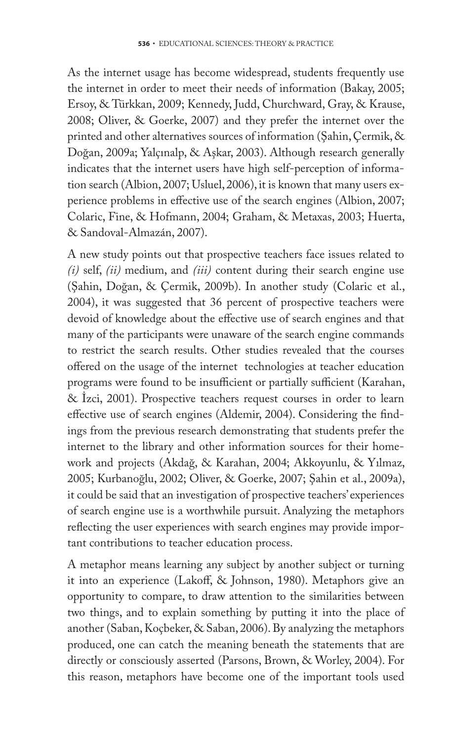As the internet usage has become widespread, students frequently use the internet in order to meet their needs of information (Bakay, 2005; Ersoy, & Türkkan, 2009; Kennedy, Judd, Churchward, Gray, & Krause, 2008; Oliver, & Goerke, 2007) and they prefer the internet over the printed and other alternatives sources of information (Şahin, Çermik, & Doğan, 2009a; Yalçınalp, & Aşkar, 2003). Although research generally indicates that the internet users have high self-perception of information search (Albion, 2007; Usluel, 2006), it is known that many users experience problems in effective use of the search engines (Albion, 2007; Colaric, Fine, & Hofmann, 2004; Graham, & Metaxas, 2003; Huerta, & Sandoval-Almazán, 2007).

A new study points out that prospective teachers face issues related to *(i)* self, *(ii)* medium, and *(iii)* content during their search engine use (Şahin, Doğan, & Çermik, 2009b). In another study (Colaric et al., 2004), it was suggested that 36 percent of prospective teachers were devoid of knowledge about the effective use of search engines and that many of the participants were unaware of the search engine commands to restrict the search results. Other studies revealed that the courses offered on the usage of the internet technologies at teacher education programs were found to be insufficient or partially sufficient (Karahan, & İzci, 2001). Prospective teachers request courses in order to learn effective use of search engines (Aldemir, 2004). Considering the findings from the previous research demonstrating that students prefer the internet to the library and other information sources for their homework and projects (Akdağ, & Karahan, 2004; Akkoyunlu, & Yılmaz, 2005; Kurbanoğlu, 2002; Oliver, & Goerke, 2007; Şahin et al., 2009a), it could be said that an investigation of prospective teachers' experiences of search engine use is a worthwhile pursuit. Analyzing the metaphors reflecting the user experiences with search engines may provide important contributions to teacher education process.

A metaphor means learning any subject by another subject or turning it into an experience (Lakoff, & Johnson, 1980). Metaphors give an opportunity to compare, to draw attention to the similarities between two things, and to explain something by putting it into the place of another (Saban, Koçbeker, & Saban, 2006). By analyzing the metaphors produced, one can catch the meaning beneath the statements that are directly or consciously asserted (Parsons, Brown, & Worley, 2004). For this reason, metaphors have become one of the important tools used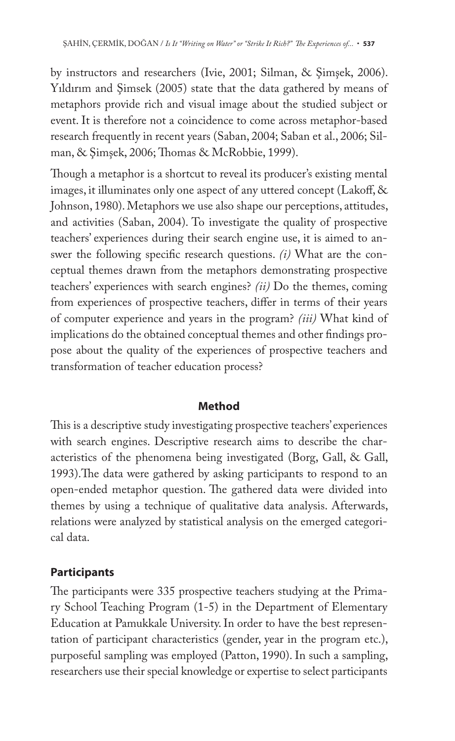by instructors and researchers (Ivie, 2001; Silman, & Şimşek, 2006). Yıldırım and Şimsek (2005) state that the data gathered by means of metaphors provide rich and visual image about the studied subject or event. It is therefore not a coincidence to come across metaphor-based research frequently in recent years (Saban, 2004; Saban et al., 2006; Silman, & Simsek, 2006; Thomas & McRobbie, 1999).

Though a metaphor is a shortcut to reveal its producer's existing mental images, it illuminates only one aspect of any uttered concept (Lakoff,  $\&$ Johnson, 1980). Metaphors we use also shape our perceptions, attitudes, and activities (Saban, 2004). To investigate the quality of prospective teachers' experiences during their search engine use, it is aimed to answer the following specific research questions. *(i)* What are the conceptual themes drawn from the metaphors demonstrating prospective teachers' experiences with search engines? *(ii)* Do the themes, coming from experiences of prospective teachers, differ in terms of their years of computer experience and years in the program? *(iii)* What kind of implications do the obtained conceptual themes and other findings propose about the quality of the experiences of prospective teachers and transformation of teacher education process?

### **Method**

This is a descriptive study investigating prospective teachers' experiences with search engines. Descriptive research aims to describe the characteristics of the phenomena being investigated (Borg, Gall, & Gall, 1993). The data were gathered by asking participants to respond to an open-ended metaphor question. The gathered data were divided into themes by using a technique of qualitative data analysis. Afterwards, relations were analyzed by statistical analysis on the emerged categorical data.

## **Participants**

The participants were 335 prospective teachers studying at the Primary School Teaching Program (1-5) in the Department of Elementary Education at Pamukkale University. In order to have the best representation of participant characteristics (gender, year in the program etc.), purposeful sampling was employed (Patton, 1990). In such a sampling, researchers use their special knowledge or expertise to select participants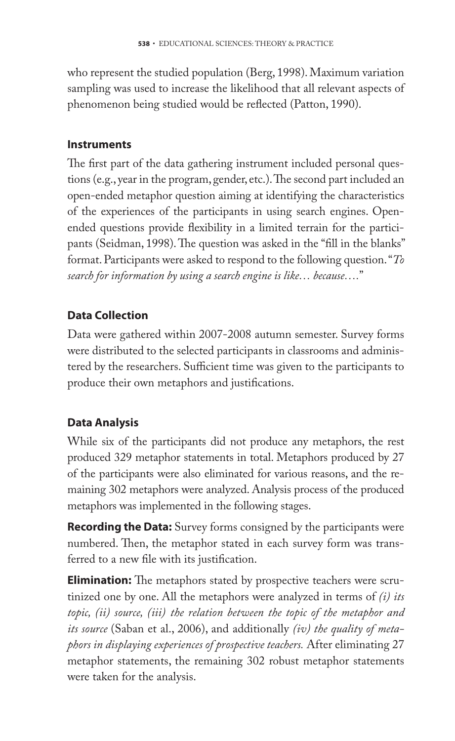who represent the studied population (Berg, 1998). Maximum variation sampling was used to increase the likelihood that all relevant aspects of phenomenon being studied would be reflected (Patton, 1990).

# **Instruments**

The first part of the data gathering instrument included personal questions (e.g., year in the program, gender, etc.). The second part included an open-ended metaphor question aiming at identifying the characteristics of the experiences of the participants in using search engines. Openended questions provide flexibility in a limited terrain for the participants (Seidman, 1998). The question was asked in the "fill in the blanks" format. Participants were asked to respond to the following question. "*To search for information by using a search engine is like… because….*"

# **Data Collection**

Data were gathered within 2007-2008 autumn semester. Survey forms were distributed to the selected participants in classrooms and administered by the researchers. Sufficient time was given to the participants to produce their own metaphors and justifications.

# **Data Analysis**

While six of the participants did not produce any metaphors, the rest produced 329 metaphor statements in total. Metaphors produced by 27 of the participants were also eliminated for various reasons, and the remaining 302 metaphors were analyzed. Analysis process of the produced metaphors was implemented in the following stages.

**Recording the Data:** Survey forms consigned by the participants were numbered. Then, the metaphor stated in each survey form was transferred to a new file with its justification.

**Elimination:** The metaphors stated by prospective teachers were scrutinized one by one. All the metaphors were analyzed in terms of *(i) its topic, (ii) source, (iii) the relation between the topic of the metaphor and its source* (Saban et al., 2006), and additionally *(iv) the quality of metaphors in displaying experiences of prospective teachers.* After eliminating 27 metaphor statements, the remaining 302 robust metaphor statements were taken for the analysis.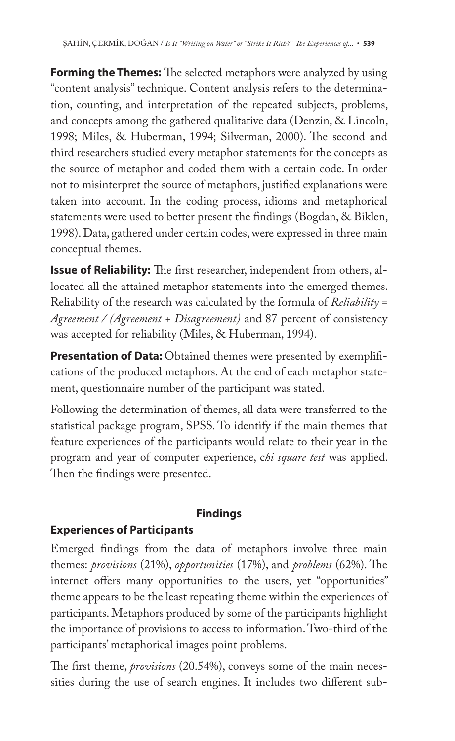**Forming the Themes:** The selected metaphors were analyzed by using "content analysis" technique. Content analysis refers to the determination, counting, and interpretation of the repeated subjects, problems, and concepts among the gathered qualitative data (Denzin, & Lincoln, 1998; Miles, & Huberman, 1994; Silverman, 2000). The second and third researchers studied every metaphor statements for the concepts as the source of metaphor and coded them with a certain code. In order not to misinterpret the source of metaphors, justified explanations were taken into account. In the coding process, idioms and metaphorical statements were used to better present the findings (Bogdan, & Biklen, 1998). Data, gathered under certain codes, were expressed in three main conceptual themes.

**Issue of Reliability:** The first researcher, independent from others, allocated all the attained metaphor statements into the emerged themes. Reliability of the research was calculated by the formula of *Reliability = Agreement / (Agreement + Disagreement)* and 87 percent of consistency was accepted for reliability (Miles, & Huberman, 1994).

**Presentation of Data:** Obtained themes were presented by exemplifications of the produced metaphors. At the end of each metaphor statement, questionnaire number of the participant was stated.

Following the determination of themes, all data were transferred to the statistical package program, SPSS. To identify if the main themes that feature experiences of the participants would relate to their year in the program and year of computer experience, c*hi square test* was applied. Then the findings were presented.

# **Findings**

# **Experiences of Participants**

Emerged findings from the data of metaphors involve three main themes: *provisions* (21%), *opportunities* (17%), and *problems* (62%). The internet offers many opportunities to the users, yet "opportunities" theme appears to be the least repeating theme within the experiences of participants. Metaphors produced by some of the participants highlight the importance of provisions to access to information. Two-third of the participants' metaphorical images point problems.

The first theme, *provisions* (20.54%), conveys some of the main necessities during the use of search engines. It includes two different sub-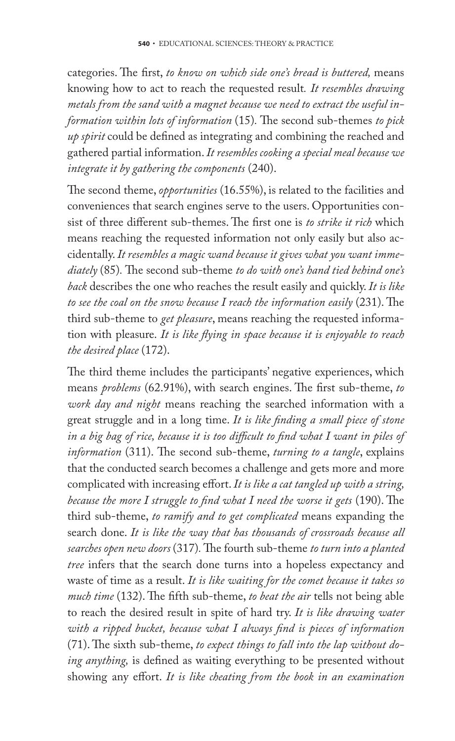categories. The first, to know on which side one's bread is buttered, means knowing how to act to reach the requested result*. It resembles drawing metals from the sand with a magnet because we need to extract the useful information within lots of information* (15). The second sub-themes to pick *up spirit* could be defined as integrating and combining the reached and gathered partial information. *It resembles cooking a special meal because we integrate it by gathering the components* (240).

The second theme, *opportunities* (16.55%), is related to the facilities and conveniences that search engines serve to the users. Opportunities consist of three different sub-themes. The first one is *to strike it rich* which means reaching the requested information not only easily but also accidentally. *It resembles a magic wand because it gives what you want immediately* (85). The second sub-theme *to do with one's hand tied behind one's back* describes the one who reaches the result easily and quickly. *It is like*  to see the coal on the snow because I reach the information easily (231). The third sub-theme to *get pleasure*, means reaching the requested information with pleasure. It is like flying in space because it is enjoyable to reach *the desired place* (172).

The third theme includes the participants' negative experiences, which means *problems* (62.91%), with search engines. The first sub-theme, to *work day and night* means reaching the searched information with a great struggle and in a long time. It is like finding a small piece of stone in a big bag of rice, because it is too difficult to find what I want in piles of *information* (311). The second sub-theme, *turning to a tangle*, explains that the conducted search becomes a challenge and gets more and more complicated with increasing effort. It is like a cat tangled up with a string, *because the more I struggle to find what I need the worse it gets* (190). The third sub-theme, *to ramify and to get complicated* means expanding the search done. *It is like the way that has thousands of crossroads because all searches open new doors* (317)*.* Th e fourth sub-theme *to turn into a planted tree* infers that the search done turns into a hopeless expectancy and waste of time as a result. *It is like waiting for the comet because it takes so much time* (132). The fifth sub-theme, *to beat the air* tells not being able to reach the desired result in spite of hard try. *It is like drawing water*  with a ripped bucket, because what I always find is pieces of information (71). The sixth sub-theme, *to expect things to fall into the lap without doing anything*, is defined as waiting everything to be presented without showing any effort. It is like cheating from the book in an examination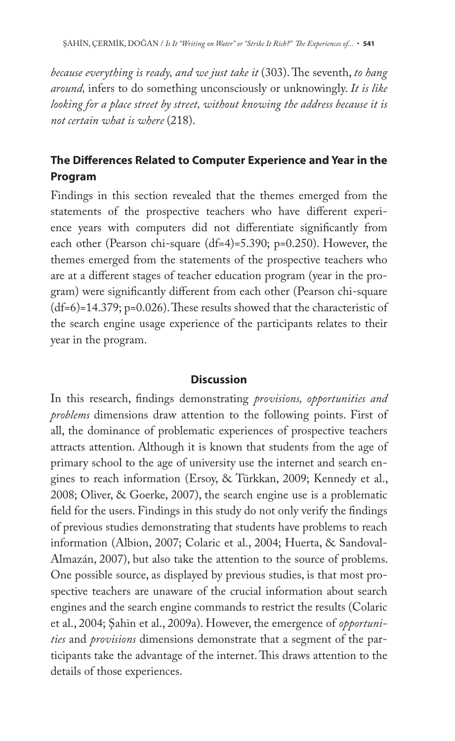*because everything is ready, and we just take it* (303). The seventh, *to hang around,* infers to do something unconsciously or unknowingly. *It is like looking for a place street by street, without knowing the address because it is not certain what is where* (218).

# **The Differences Related to Computer Experience and Year in the Program**

Findings in this section revealed that the themes emerged from the statements of the prospective teachers who have different experience years with computers did not differentiate significantly from each other (Pearson chi-square (df=4)=5.390; p=0.250). However, the themes emerged from the statements of the prospective teachers who are at a different stages of teacher education program (year in the program) were significantly different from each other (Pearson chi-square  $(df=6)=14.379; p=0.026$ . These results showed that the characteristic of the search engine usage experience of the participants relates to their year in the program.

## **Discussion**

In this research, findings demonstrating *provisions, opportunities and problems* dimensions draw attention to the following points. First of all, the dominance of problematic experiences of prospective teachers attracts attention. Although it is known that students from the age of primary school to the age of university use the internet and search engines to reach information (Ersoy, & Türkkan, 2009; Kennedy et al., 2008; Oliver, & Goerke, 2007), the search engine use is a problematic field for the users. Findings in this study do not only verify the findings of previous studies demonstrating that students have problems to reach information (Albion, 2007; Colaric et al., 2004; Huerta, & Sandoval-Almazán, 2007), but also take the attention to the source of problems. One possible source, as displayed by previous studies, is that most prospective teachers are unaware of the crucial information about search engines and the search engine commands to restrict the results (Colaric et al., 2004; Şahin et al., 2009a). However, the emergence of *opportunities* and *provisions* dimensions demonstrate that a segment of the participants take the advantage of the internet. This draws attention to the details of those experiences.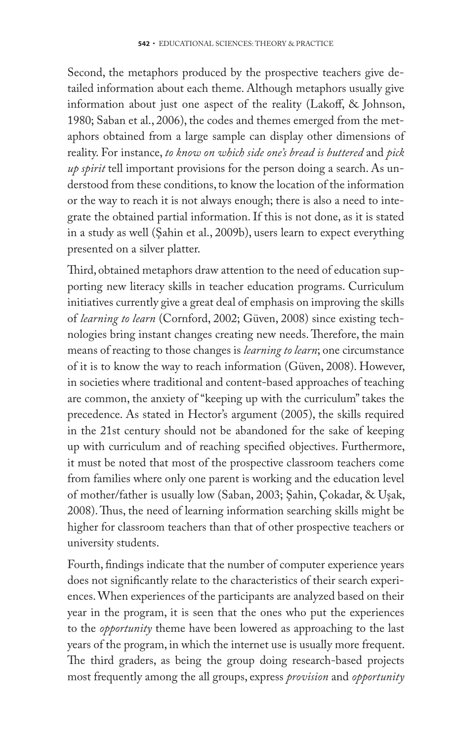Second, the metaphors produced by the prospective teachers give detailed information about each theme. Although metaphors usually give information about just one aspect of the reality (Lakoff, & Johnson, 1980; Saban et al., 2006), the codes and themes emerged from the metaphors obtained from a large sample can display other dimensions of reality. For instance, *to know on which side one's bread is buttered* and *pick up spirit* tell important provisions for the person doing a search. As understood from these conditions, to know the location of the information or the way to reach it is not always enough; there is also a need to integrate the obtained partial information. If this is not done, as it is stated in a study as well (Şahin et al., 2009b), users learn to expect everything presented on a silver platter.

Third, obtained metaphors draw attention to the need of education supporting new literacy skills in teacher education programs. Curriculum initiatives currently give a great deal of emphasis on improving the skills of *learning to learn* (Cornford, 2002; Güven, 2008) since existing technologies bring instant changes creating new needs. Therefore, the main means of reacting to those changes is *learning to learn*; one circumstance of it is to know the way to reach information (Güven, 2008). However, in societies where traditional and content-based approaches of teaching are common, the anxiety of "keeping up with the curriculum" takes the precedence. As stated in Hector's argument (2005), the skills required in the 21st century should not be abandoned for the sake of keeping up with curriculum and of reaching specified objectives. Furthermore, it must be noted that most of the prospective classroom teachers come from families where only one parent is working and the education level of mother/father is usually low (Saban, 2003; Şahin, Çokadar, & Uşak, 2008). Thus, the need of learning information searching skills might be higher for classroom teachers than that of other prospective teachers or university students.

Fourth, findings indicate that the number of computer experience years does not significantly relate to the characteristics of their search experiences. When experiences of the participants are analyzed based on their year in the program, it is seen that the ones who put the experiences to the *opportunity* theme have been lowered as approaching to the last years of the program, in which the internet use is usually more frequent. The third graders, as being the group doing research-based projects most frequently among the all groups, express *provision* and *opportunity*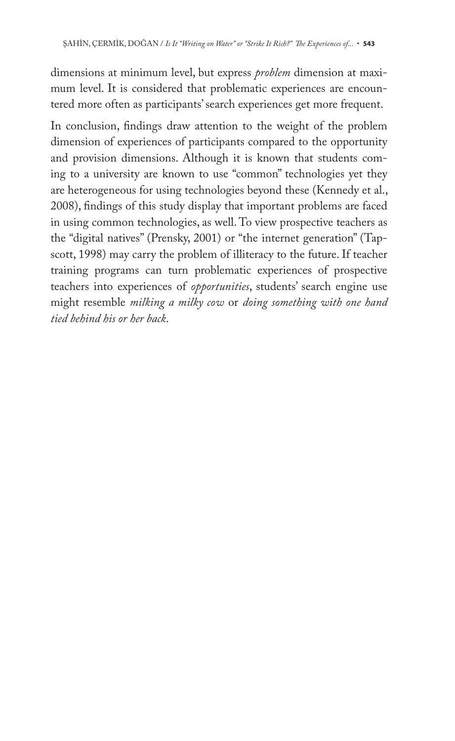dimensions at minimum level, but express *problem* dimension at maximum level. It is considered that problematic experiences are encountered more often as participants' search experiences get more frequent.

In conclusion, findings draw attention to the weight of the problem dimension of experiences of participants compared to the opportunity and provision dimensions. Although it is known that students coming to a university are known to use "common" technologies yet they are heterogeneous for using technologies beyond these (Kennedy et al., 2008), findings of this study display that important problems are faced in using common technologies, as well. To view prospective teachers as the "digital natives" (Prensky, 2001) or "the internet generation" (Tapscott, 1998) may carry the problem of illiteracy to the future. If teacher training programs can turn problematic experiences of prospective teachers into experiences of *opportunities*, students' search engine use might resemble *milking a milky cow* or *doing something with one hand tied behind his or her back*.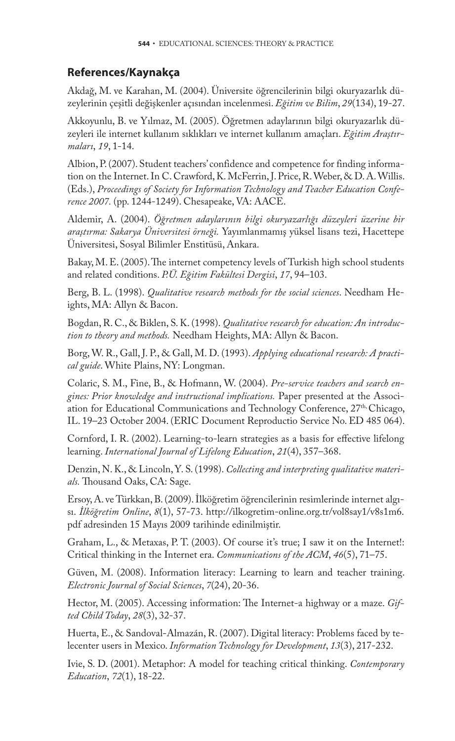### **References/Kaynakça**

Akdağ, M. ve Karahan, M. (2004). Üniversite öğrencilerinin bilgi okuryazarlık düzeylerinin çeşitli değişkenler açısından incelenmesi. *Eğitim ve Bilim*, *29*(134), 19-27.

Akkoyunlu, B. ve Yılmaz, M. (2005). Öğretmen adaylarının bilgi okuryazarlık düzeyleri ile internet kullanım sıklıkları ve internet kullanım amaçları. *Eğitim Araştırmaları*, *19*, 1-14.

Albion, P. (2007). Student teachers' confidence and competence for finding information on the Internet. In C. Crawford, K. McFerrin, J. Price, R. Weber, & D. A. Willis. (Eds.), *Proceedings of Society for Information Technology and Teacher Education Conference 2007.* (pp. 1244-1249). Chesapeake, VA: AACE.

Aldemir, A. (2004). *Öğretmen adaylarının bilgi okuryazarlığı düzeyleri üzerine bir araştırma: Sakarya Üniversitesi örneği.* Yayımlanmamış yüksel lisans tezi, Hacettepe Üniversitesi, Sosyal Bilimler Enstitüsü, Ankara.

Bakay, M. E. (2005). The internet competency levels of Turkish high school students and related conditions. *P.Ü. Eğitim Fakültesi Dergisi*, *17*, 94–103.

Berg, B. L. (1998). *Qualitative research methods for the social sciences*. Needham Heights, MA: Allyn & Bacon.

Bogdan, R. C., & Biklen, S. K. (1998). *Qualitative research for education: An introduction to theory and methods.* Needham Heights, MA: Allyn & Bacon.

Borg, W. R., Gall, J. P., & Gall, M. D. (1993). *Applying educational research: A practical guide*. White Plains, NY: Longman.

Colaric, S. M., Fine, B., & Hofmann, W. (2004). *Pre-service teachers and search engines: Prior knowledge and instructional implications.* Paper presented at the Association for Educational Communications and Technology Conference, 27<sup>th,</sup> Chicago, IL. 19–23 October 2004. (ERIC Document Reproductio Service No. ED 485 064).

Cornford, I. R. (2002). Learning-to-learn strategies as a basis for effective lifelong learning. *International Journal of Lifelong Education*, *21*(4), 357–368.

Denzin, N. K., & Lincoln, Y. S. (1998). *Collecting and interpreting qualitative materi*als. Thousand Oaks, CA: Sage.

Ersoy, A. ve Türkkan, B. (2009). İlköğretim öğrencilerinin resimlerinde internet algısı. *İlköğretim Online*, *8*(1), 57-73. http://ilkogretim-online.org.tr/vol8say1/v8s1m6. pdf adresinden 15 Mayıs 2009 tarihinde edinilmiştir.

Graham, L., & Metaxas, P. T. (2003). Of course it's true; I saw it on the Internet!: Critical thinking in the Internet era. *Communications of the ACM*, *46*(5), 71–75.

Güven, M. (2008). Information literacy: Learning to learn and teacher training. *Electronic Journal of Social Sciences*, *7*(24), 20-36.

Hector, M. (2005). Accessing information: The Internet-a highway or a maze. *Gifted Child Today*, *28*(3), 32-37.

Huerta, E., & Sandoval-Almazán, R. (2007). Digital literacy: Problems faced by telecenter users in Mexico. *Information Technology for Development*, *13*(3), 217-232.

Ivie, S. D. (2001). Metaphor: A model for teaching critical thinking. *Contemporary Education*, *72*(1), 18-22.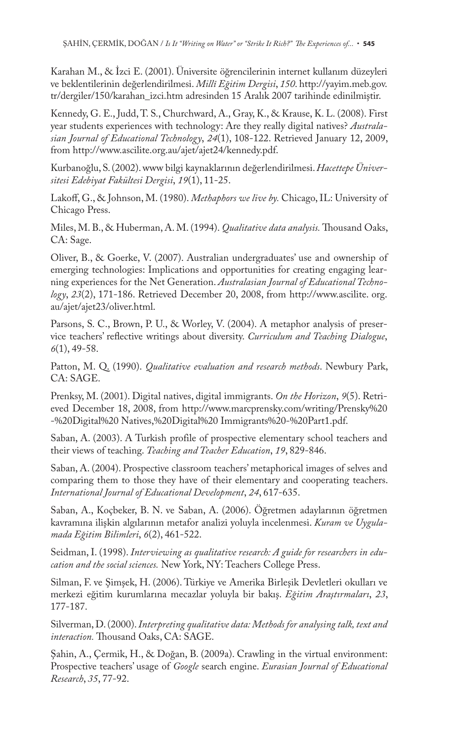Karahan M., & İzci E. (2001). Üniversite öğrencilerinin internet kullanım düzeyleri ve beklentilerinin değerlendirilmesi. *Millî Eğitim Dergisi*, *150*. http://yayim.meb.gov. tr/dergiler/150/karahan\_izci.htm adresinden 15 Aralık 2007 tarihinde edinilmiştir.

Kennedy, G. E., Judd, T. S., Churchward, A., Gray, K., & Krause, K. L. (2008). First year students experiences with technology: Are they really digital natives? *Australasian Journal of Educational Technology*, *24*(1), 108-122. Retrieved January 12, 2009, from http://www.ascilite.org.au/ajet/ajet24/kennedy.pdf.

Kurbanoğlu, S. (2002). www bilgi kaynaklarının değerlendirilmesi. *Hacettepe Üniversitesi Edebiyat Fakültesi Dergisi*, *19*(1), 11-25.

Lakoff, G., & Johnson, M. (1980). *Methaphors we live by*. Chicago, IL: University of Chicago Press.

Miles, M. B., & Huberman, A. M. (1994). *Qualitative data analysis*. Thousand Oaks, CA: Sage.

Oliver, B., & Goerke, V. (2007). Australian undergraduates' use and ownership of emerging technologies: Implications and opportunities for creating engaging learning experiences for the Net Generation. *Australasian Journal of Educational Technology*, *23*(2), 171-186. Retrieved December 20, 2008, from http://www.ascilite. org. au/ajet/ajet23/oliver.html.

Parsons, S. C., Brown, P. U., & Worley, V. (2004). A metaphor analysis of preservice teachers' reflective writings about diversity. *Curriculum and Teaching Dialogue*, *6*(1), 49-58.

Patton, M. Q. (1990). *Qualitative evaluation and research methods*. Newbury Park, CA: SAGE.

Prenksy, M. (2001). Digital natives, digital immigrants. *On the Horizon*, *9*(5). Retrieved December 18, 2008, from http://www.marcprensky.com/writing/Prensky%20 -%20Digital%20 Natives,%20Digital%20 Immigrants%20-%20Part1.pdf.

Saban, A. (2003). A Turkish profile of prospective elementary school teachers and their views of teaching. *Teaching and Teacher Education*, *19*, 829-846.

Saban, A. (2004). Prospective classroom teachers' metaphorical images of selves and comparing them to those they have of their elementary and cooperating teachers. *International Journal of Educational Development*, *24*, 617-635.

Saban, A., Koçbeker, B. N. ve Saban, A. (2006). Öğretmen adaylarının öğretmen kavramına ilişkin algılarının metafor analizi yoluyla incelenmesi. *Kuram ve Uygulamada Eğitim Bilimleri*, *6*(2), 461-522.

Seidman, I. (1998). *Interviewing as qualitative research: A guide for researchers in education and the social sciences.* New York, NY: Teachers College Press.

Silman, F. ve Şimşek, H. (2006). Türkiye ve Amerika Birleşik Devletleri okulları ve merkezi eğitim kurumlarına mecazlar yoluyla bir bakış. *Eğitim Araştırmaları*, *23*, 177-187.

Silverman, D. (2000). *Interpreting qualitative data: Methods for analysing talk, text and interaction*. Thousand Oaks, CA: SAGE.

Şahin, A., Çermik, H., & Doğan, B. (2009a). Crawling in the virtual environment: Prospective teachers' usage of *Google* search engine. *Eurasian Journal of Educational Research*, *35*, 77-92.